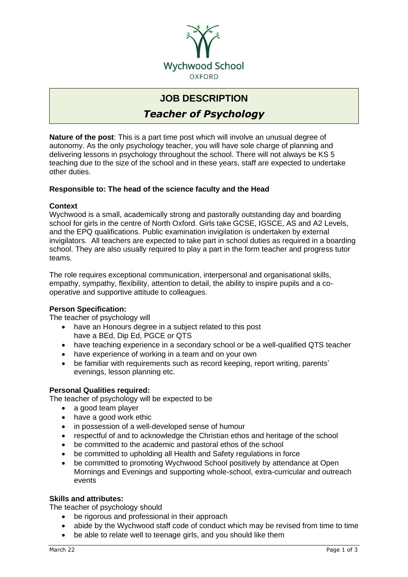

# **JOB DESCRIPTION**

*Teacher of Psychology*

**Nature of the post**: This is a part time post which will involve an unusual degree of autonomy. As the only psychology teacher, you will have sole charge of planning and delivering lessons in psychology throughout the school. There will not always be KS 5 teaching due to the size of the school and in these years, staff are expected to undertake other duties.

### **Responsible to: The head of the science faculty and the Head**

#### **Context**

Wychwood is a small, academically strong and pastorally outstanding day and boarding school for girls in the centre of North Oxford. Girls take GCSE, IGSCE, AS and A2 Levels, and the EPQ qualifications. Public examination invigilation is undertaken by external invigilators. All teachers are expected to take part in school duties as required in a boarding school. They are also usually required to play a part in the form teacher and progress tutor teams.

The role requires exceptional communication, interpersonal and organisational skills, empathy, sympathy, flexibility, attention to detail, the ability to inspire pupils and a cooperative and supportive attitude to colleagues.

#### **Person Specification:**

The teacher of psychology will

- have an Honours degree in a subject related to this post have a BEd, Dip Ed, PGCE or QTS
- have teaching experience in a secondary school or be a well-qualified QTS teacher
- have experience of working in a team and on your own
- be familiar with requirements such as record keeping, report writing, parents' evenings, lesson planning etc.

#### **Personal Qualities required:**

The teacher of psychology will be expected to be

- a good team player
- have a good work ethic
- in possession of a well-developed sense of humour
- respectful of and to acknowledge the Christian ethos and heritage of the school
- be committed to the academic and pastoral ethos of the school
- be committed to upholding all Health and Safety regulations in force
- be committed to promoting Wychwood School positively by attendance at Open Mornings and Evenings and supporting whole-school, extra-curricular and outreach events

## **Skills and attributes:**

The teacher of psychology should

- be rigorous and professional in their approach
- abide by the Wychwood staff code of conduct which may be revised from time to time
- be able to relate well to teenage girls, and you should like them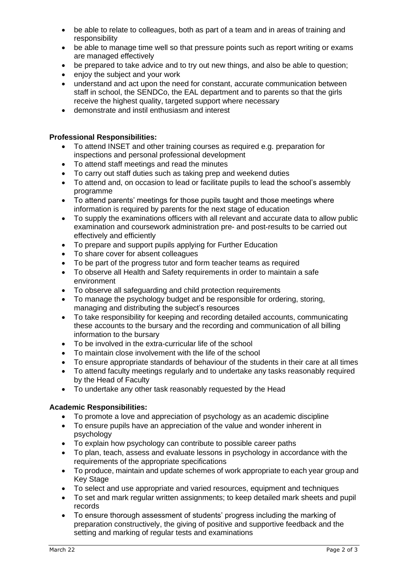- be able to relate to colleagues, both as part of a team and in areas of training and responsibility
- be able to manage time well so that pressure points such as report writing or exams are managed effectively
- be prepared to take advice and to try out new things, and also be able to question;
- enjoy the subject and your work
- understand and act upon the need for constant, accurate communication between staff in school, the SENDCo, the EAL department and to parents so that the girls receive the highest quality, targeted support where necessary
- demonstrate and instil enthusiasm and interest

#### **Professional Responsibilities:**

- To attend INSET and other training courses as required e.g. preparation for inspections and personal professional development
- To attend staff meetings and read the minutes
- To carry out staff duties such as taking prep and weekend duties
- To attend and, on occasion to lead or facilitate pupils to lead the school's assembly programme
- To attend parents' meetings for those pupils taught and those meetings where information is required by parents for the next stage of education
- To supply the examinations officers with all relevant and accurate data to allow public examination and coursework administration pre- and post-results to be carried out effectively and efficiently
- To prepare and support pupils applying for Further Education
- To share cover for absent colleagues
- To be part of the progress tutor and form teacher teams as required
- To observe all Health and Safety requirements in order to maintain a safe environment
- To observe all safeguarding and child protection requirements
- To manage the psychology budget and be responsible for ordering, storing, managing and distributing the subject's resources
- To take responsibility for keeping and recording detailed accounts, communicating these accounts to the bursary and the recording and communication of all billing information to the bursary
- To be involved in the extra-curricular life of the school
- To maintain close involvement with the life of the school
- To ensure appropriate standards of behaviour of the students in their care at all times
- To attend faculty meetings regularly and to undertake any tasks reasonably required by the Head of Faculty
- To undertake any other task reasonably requested by the Head

#### **Academic Responsibilities:**

- To promote a love and appreciation of psychology as an academic discipline
- To ensure pupils have an appreciation of the value and wonder inherent in psychology
- To explain how psychology can contribute to possible career paths
- To plan, teach, assess and evaluate lessons in psychology in accordance with the requirements of the appropriate specifications
- To produce, maintain and update schemes of work appropriate to each year group and Key Stage
- To select and use appropriate and varied resources, equipment and techniques
- To set and mark regular written assignments; to keep detailed mark sheets and pupil records
- To ensure thorough assessment of students' progress including the marking of preparation constructively, the giving of positive and supportive feedback and the setting and marking of regular tests and examinations